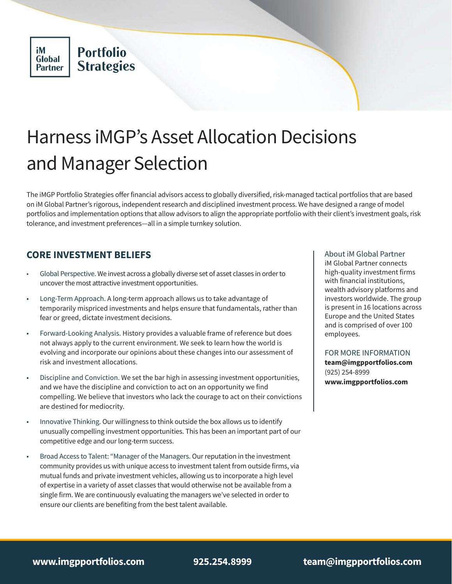# Harness iMGP's Asset Allocation Decisions and Manager Selection

The iMGP Portfolio Strategies offer financial advisors access to globally diversified, risk-managed tactical portfolios that are based on iM Global Partner's rigorous, independent research and disciplined investment process. We have designed a range of model portfolios and implementation options that allow advisors to align the appropriate portfolio with their client's investment goals, risk tolerance, and investment preferences—all in a simple turnkey solution.

## **CORE INVESTMENT BELIEFS**

- Global Perspective. We invest across a globally diverse set of asset classes in order to uncover the most attractive investment opportunities.
- Long-Term Approach. A long-term approach allows us to take advantage of temporarily mispriced investments and helps ensure that fundamentals, rather than fear or greed, dictate investment decisions.
- Forward-Looking Analysis. History provides a valuable frame of reference but does not always apply to the current environment. We seek to learn how the world is evolving and incorporate our opinions about these changes into our assessment of risk and investment allocations.
- Discipline and Conviction. We set the bar high in assessing investment opportunities, and we have the discipline and conviction to act on an opportunity we find compelling. We believe that investors who lack the courage to act on their convictions are destined for mediocrity.
- Innovative Thinking. Our willingness to think outside the box allows us to identify unusually compelling investment opportunities. This has been an important part of our competitive edge and our long-term success.
- Broad Access to Talent: "Manager of the Managers. Our reputation in the investment community provides us with unique access to investment talent from outside firms, via mutual funds and private investment vehicles, allowing us to incorporate a high level of expertise in a variety of asset classes that would otherwise not be available from a single firm. We are continuously evaluating the managers we've selected in order to ensure our clients are benefiting from the best talent available.

About iM Global Partner iM Global Partner connects high-quality investment firms with financial institutions, wealth advisory platforms and investors worldwide. The group is present in 16 locations across Europe and the United States and is comprised of over 100 employees.

FOR MORE INFORMATION **team@imgpportfolios.com** 

(925) 254-8999 **www.imgpportfolios.com**

**www.imgpportfolios.com 925.254.8999 team@imgpportfolios.com**